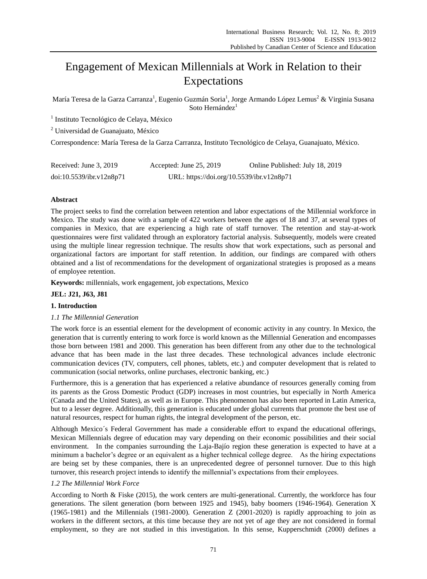# Engagement of Mexican Millennials at Work in Relation to their Expectations

Mar á Teresa de la Garza Carranza<sup>1</sup>, Eugenio Guzm án Soria<sup>1</sup>, Jorge Armando López Lemus<sup>2</sup> & Virginia Susana Soto Hernández<sup>1</sup>

1 Instituto Tecnológico de Celaya, México

<sup>2</sup> Universidad de Guanajuato, México

Correspondence: María Teresa de la Garza Carranza, Instituto Tecnológico de Celaya, Guanajuato, México.

| Received: June 3, 2019   | Accepted: June 25, 2019                   | Online Published: July 18, 2019 |
|--------------------------|-------------------------------------------|---------------------------------|
| doi:10.5539/ibr.v12n8p71 | URL: https://doi.org/10.5539/ibr.v12n8p71 |                                 |

# **Abstract**

The project seeks to find the correlation between retention and labor expectations of the Millennial workforce in Mexico. The study was done with a sample of 422 workers between the ages of 18 and 37, at several types of companies in Mexico, that are experiencing a high rate of staff turnover. The retention and stay-at-work questionnaires were first validated through an exploratory factorial analysis. Subsequently, models were created using the multiple linear regression technique. The results show that work expectations, such as personal and organizational factors are important for staff retention. In addition, our findings are compared with others obtained and a list of recommendations for the development of organizational strategies is proposed as a means of employee retention.

**Keywords:** millennials, work engagement, job expectations, Mexico

# **JEL: J21, J63, J81**

## **1. Introduction**

## *1.1 The Millennial Generation*

The work force is an essential element for the development of economic activity in any country. In Mexico, the generation that is currently entering to work force is world known as the Millennial Generation and encompasses those born between 1981 and 2000. This generation has been different from any other due to the technological advance that has been made in the last three decades. These technological advances include electronic communication devices (TV, computers, cell phones, tablets, etc.) and computer development that is related to communication (social networks, online purchases, electronic banking, etc.)

Furthermore, this is a generation that has experienced a relative abundance of resources generally coming from its parents as the Gross Domestic Product (GDP) increases in most countries, but especially in North America (Canada and the United States), as well as in Europe. This phenomenon has also been reported in Latin America, but to a lesser degree. Additionally, this generation is educated under global currents that promote the best use of natural resources, respect for human rights, the integral development of the person, etc.

Although Mexico´s Federal Government has made a considerable effort to expand the educational offerings, Mexican Millennials degree of education may vary depending on their economic possibilities and their social environment. In the companies surrounding the Laja-Baj  $\acute{o}$  region these generation is expected to have at a minimum a bachelor's degree or an equivalent as a higher technical college degree. As the hiring expectations are being set by these companies, there is an unprecedented degree of personnel turnover. Due to this high turnover, this research project intends to identify the millennial's expectations from their employees.

# *1.2 The Millennial Work Force*

According to North & Fiske (2015), the work centers are multi-generational. Currently, the workforce has four generations. The silent generation (born between 1925 and 1945), baby boomers (1946-1964). Generation X (1965-1981) and the Millennials (1981-2000). Generation Z (2001-2020) is rapidly approaching to join as workers in the different sectors, at this time because they are not yet of age they are not considered in formal employment, so they are not studied in this investigation. In this sense, Kupperschmidt (2000) defines a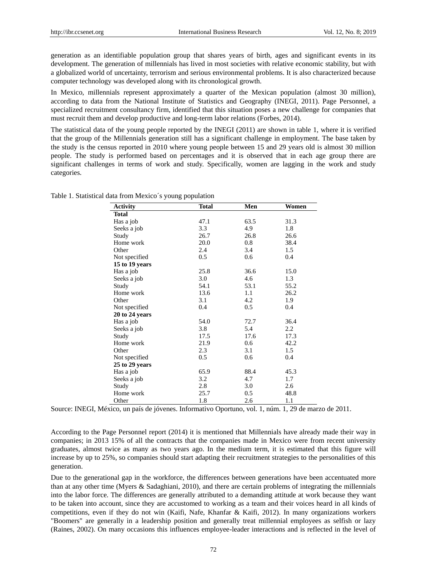generation as an identifiable population group that shares years of birth, ages and significant events in its development. The generation of millennials has lived in most societies with relative economic stability, but with a globalized world of uncertainty, terrorism and serious environmental problems. It is also characterized because computer technology was developed along with its chronological growth.

In Mexico, millennials represent approximately a quarter of the Mexican population (almost 30 million), according to data from the National Institute of Statistics and Geography (INEGI, 2011). Page Personnel, a specialized recruitment consultancy firm, identified that this situation poses a new challenge for companies that must recruit them and develop productive and long-term labor relations (Forbes, 2014).

The statistical data of the young people reported by the INEGI (2011) are shown in table 1, where it is verified that the group of the Millennials generation still has a significant challenge in employment. The base taken by the study is the census reported in 2010 where young people between 15 and 29 years old is almost 30 million people. The study is performed based on percentages and it is observed that in each age group there are significant challenges in terms of work and study. Specifically, women are lagging in the work and study categories.

| <b>Activity</b> | <b>Total</b> | Men  | Women |
|-----------------|--------------|------|-------|
| <b>Total</b>    |              |      |       |
| Has a job       | 47.1         | 63.5 | 31.3  |
| Seeks a job     | 3.3          | 4.9  | 1.8   |
| Study           | 26.7         | 26.8 | 26.6  |
| Home work       | 20.0         | 0.8  | 38.4  |
| Other           | 2.4          | 3.4  | 1.5   |
| Not specified   | 0.5          | 0.6  | 0.4   |
| 15 to 19 years  |              |      |       |
| Has a job       | 25.8         | 36.6 | 15.0  |
| Seeks a job     | 3.0          | 4.6  | 1.3   |
| Study           | 54.1         | 53.1 | 55.2  |
| Home work       | 13.6         | 1.1  | 26.2  |
| Other           | 3.1          | 4.2  | 1.9   |
| Not specified   | 0.4          | 0.5  | 0.4   |
| 20 to 24 years  |              |      |       |
| Has a job       | 54.0         | 72.7 | 36.4  |
| Seeks a job     | 3.8          | 5.4  | 2.2   |
| Study           | 17.5         | 17.6 | 17.3  |
| Home work       | 21.9         | 0.6  | 42.2  |
| Other           | 2.3          | 3.1  | 1.5   |
| Not specified   | 0.5          | 0.6  | 0.4   |
| 25 to 29 years  |              |      |       |
| Has a job       | 65.9         | 88.4 | 45.3  |
| Seeks a job     | 3.2          | 4.7  | 1.7   |
| Study           | 2.8          | 3.0  | 2.6   |
| Home work       | 25.7         | 0.5  | 48.8  |
| Other           | 1.8          | 2.6  | 1.1   |

Table 1. Statistical data from Mexico´s young population

Source: INEGI, México, un país de jóvenes. Informativo Oportuno, vol. 1, núm. 1, 29 de marzo de 2011.

According to the Page Personnel report (2014) it is mentioned that Millennials have already made their way in companies; in 2013 15% of all the contracts that the companies made in Mexico were from recent university graduates, almost twice as many as two years ago. In the medium term, it is estimated that this figure will increase by up to 25%, so companies should start adapting their recruitment strategies to the personalities of this generation.

Due to the generational gap in the workforce, the differences between generations have been accentuated more than at any other time (Myers & Sadaghiani, 2010), and there are certain problems of integrating the millennials into the labor force. The differences are generally attributed to a demanding attitude at work because they want to be taken into account, since they are accustomed to working as a team and their voices heard in all kinds of competitions, even if they do not win (Kaifi, Nafe, Khanfar & Kaifi, 2012). In many organizations workers "Boomers" are generally in a leadership position and generally treat millennial employees as selfish or lazy (Raines, 2002). On many occasions this influences employee-leader interactions and is reflected in the level of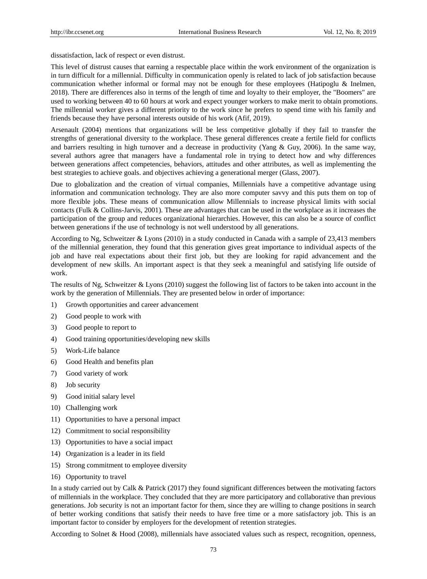dissatisfaction, lack of respect or even distrust.

This level of distrust causes that earning a respectable place within the work environment of the organization is in turn difficult for a millennial. Difficulty in communication openly is related to lack of job satisfaction because communication whether informal or formal may not be enough for these employees (Hatipoglu & Inelmen, 2018). There are differences also in terms of the length of time and loyalty to their employer, the "Boomers" are used to working between 40 to 60 hours at work and expect younger workers to make merit to obtain promotions. The millennial worker gives a different priority to the work since he prefers to spend time with his family and friends because they have personal interests outside of his work (Afif, 2019).

Arsenault (2004) mentions that organizations will be less competitive globally if they fail to transfer the strengths of generational diversity to the workplace. These general differences create a fertile field for conflicts and barriers resulting in high turnover and a decrease in productivity (Yang & Guy, 2006). In the same way, several authors agree that managers have a fundamental role in trying to detect how and why differences between generations affect competencies, behaviors, attitudes and other attributes, as well as implementing the best strategies to achieve goals. and objectives achieving a generational merger (Glass, 2007).

Due to globalization and the creation of virtual companies, Millennials have a competitive advantage using information and communication technology. They are also more computer savvy and this puts them on top of more flexible jobs. These means of communication allow Millennials to increase physical limits with social contacts (Fulk & Collins-Jarvis, 2001). These are advantages that can be used in the workplace as it increases the participation of the group and reduces organizational hierarchies. However, this can also be a source of conflict between generations if the use of technology is not well understood by all generations.

According to Ng, Schweitzer & Lyons (2010) in a study conducted in Canada with a sample of 23,413 members of the millennial generation, they found that this generation gives great importance to individual aspects of the job and have real expectations about their first job, but they are looking for rapid advancement and the development of new skills. An important aspect is that they seek a meaningful and satisfying life outside of work.

The results of Ng, Schweitzer & Lyons (2010) suggest the following list of factors to be taken into account in the work by the generation of Millennials. They are presented below in order of importance:

- 1) Growth opportunities and career advancement
- 2) Good people to work with
- 3) Good people to report to
- 4) Good training opportunities/developing new skills
- 5) Work-Life balance
- 6) Good Health and benefits plan
- 7) Good variety of work
- 8) Job security
- 9) Good initial salary level
- 10) Challenging work
- 11) Opportunities to have a personal impact
- 12) Commitment to social responsibility
- 13) Opportunities to have a social impact
- 14) Organization is a leader in its field
- 15) Strong commitment to employee diversity
- 16) Opportunity to travel

In a study carried out by Calk & Patrick (2017) they found significant differences between the motivating factors of millennials in the workplace. They concluded that they are more participatory and collaborative than previous generations. Job security is not an important factor for them, since they are willing to change positions in search of better working conditions that satisfy their needs to have free time or a more satisfactory job. This is an important factor to consider by employers for the development of retention strategies.

According to Solnet & Hood (2008), millennials have associated values such as respect, recognition, openness,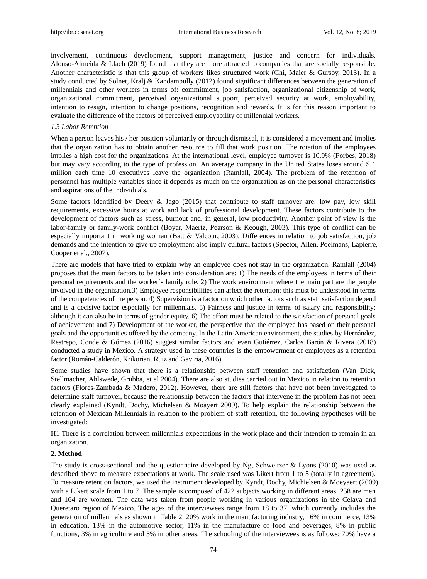involvement, continuous development, support management, justice and concern for individuals. Alonso-Almeida & Llach (2019) found that they are more attracted to companies that are socially responsible. Another characteristic is that this group of workers likes structured work (Chi, Maier & Gursoy, 2013). In a study conducted by Solnet, Kralj & Kandampully (2012) found significant differences between the generation of millennials and other workers in terms of: commitment, job satisfaction, organizational citizenship of work, organizational commitment, perceived organizational support, perceived security at work, employability, intention to resign, intention to change positions, recognition and rewards. It is for this reason important to evaluate the difference of the factors of perceived employability of millennial workers.

### *1.3 Labor Retention*

When a person leaves his / her position voluntarily or through dismissal, it is considered a movement and implies that the organization has to obtain another resource to fill that work position. The rotation of the employees implies a high cost for the organizations. At the international level, employee turnover is 10.9% (Forbes, 2018) but may vary according to the type of profession. An average company in the United States loses around \$ 1 million each time 10 executives leave the organization (Ramlall, 2004). The problem of the retention of personnel has multiple variables since it depends as much on the organization as on the personal characteristics and aspirations of the individuals.

Some factors identified by Deery & Jago (2015) that contribute to staff turnover are: low pay, low skill requirements, excessive hours at work and lack of professional development. These factors contribute to the development of factors such as stress, burnout and, in general, low productivity. Another point of view is the labor-family or family-work conflict (Boyar, Maertz, Pearson & Keough, 2003). This type of conflict can be especially important in working woman (Batt & Valcour, 2003). Differences in relation to job satisfaction, job demands and the intention to give up employment also imply cultural factors (Spector, Allen, Poelmans, Lapierre, Cooper et al., 2007).

There are models that have tried to explain why an employee does not stay in the organization. Ramlall (2004) proposes that the main factors to be taken into consideration are: 1) The needs of the employees in terms of their personal requirements and the worker´s family role. 2) The work environment where the main part are the people involved in the organization.3) Employee responsibilities can affect the retention; this must be understood in terms of the competencies of the person. 4) Supervision is a factor on which other factors such as staff satisfaction depend and is a decisive factor especially for millennials. 5) Fairness and justice in terms of salary and responsibility; although it can also be in terms of gender equity. 6) The effort must be related to the satisfaction of personal goals of achievement and 7) Development of the worker, the perspective that the employee has based on their personal goals and the opportunities offered by the company. In the Latin-American environment, the studies by Hernández, Restrepo, Conde & Gómez (2016) suggest similar factors and even Gutiérrez, Carlos Barón & Rivera (2018) conducted a study in Mexico. A strategy used in these countries is the empowerment of employees as a retention factor (Román-Calderón, Krikorian, Ruiz and Gaviria, 2016).

Some studies have shown that there is a relationship between staff retention and satisfaction (Van Dick, Stellmacher, Ahlswede, Grubba, et al 2004). There are also studies carried out in Mexico in relation to retention factors (Flores-Zambada & Madero, 2012). However, there are still factors that have not been investigated to determine staff turnover, because the relationship between the factors that intervene in the problem has not been clearly explained (Kyndt, Dochy, Michelsen & Moayert 2009). To help explain the relationship between the retention of Mexican Millennials in relation to the problem of staff retention, the following hypotheses will be investigated:

H1 There is a correlation between millennials expectations in the work place and their intention to remain in an organization.

#### **2. Method**

The study is cross-sectional and the questionnaire developed by Ng, Schweitzer & Lyons (2010) was used as described above to measure expectations at work. The scale used was Likert from 1 to 5 (totally in agreement). To measure retention factors, we used the instrument developed by Kyndt, Dochy, Michielsen & Moeyaert (2009) with a Likert scale from 1 to 7. The sample is composed of 422 subjects working in different areas, 258 are men and 164 are women. The data was taken from people working in various organizations in the Celaya and Queretaro region of Mexico. The ages of the interviewees range from 18 to 37, which currently includes the generation of millennials as shown in Table 2. 20% work in the manufacturing industry, 16% in commerce, 13% in education, 13% in the automotive sector, 11% in the manufacture of food and beverages, 8% in public functions, 3% in agriculture and 5% in other areas. The schooling of the interviewees is as follows: 70% have a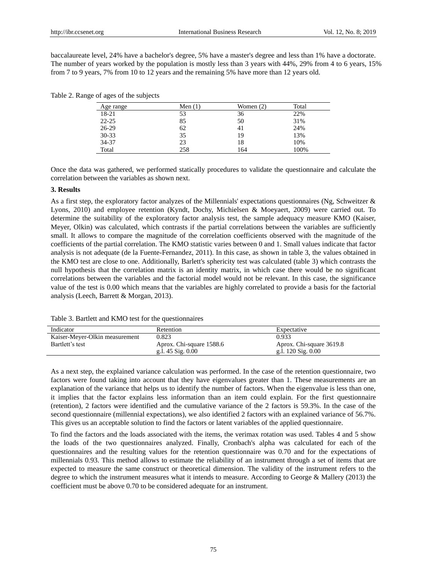baccalaureate level, 24% have a bachelor's degree, 5% have a master's degree and less than 1% have a doctorate. The number of years worked by the population is mostly less than 3 years with 44%, 29% from 4 to 6 years, 15% from 7 to 9 years, 7% from 10 to 12 years and the remaining 5% have more than 12 years old.

| Age range | Men $(1)$ | Women $(2)$ | Total |
|-----------|-----------|-------------|-------|
| 18-21     | 53        | 36          | 22%   |
| $22 - 25$ | 85        | 50          | 31%   |
| $26-29$   | 62        | 41          | 24%   |
| $30 - 33$ | 35        | 19          | 13%   |
| 34-37     | 23        | 18          | 10%   |
| Total     | 258       | 164         | 100%  |

Table 2. Range of ages of the subjects

Once the data was gathered, we performed statically procedures to validate the questionnaire and calculate the correlation between the variables as shown next.

#### **3. Results**

As a first step, the exploratory factor analyzes of the Millennials' expectations questionnaires (Ng, Schweitzer & Lyons, 2010) and employee retention (Kyndt, Dochy, Michielsen & Moeyaert, 2009) were carried out. To determine the suitability of the exploratory factor analysis test, the sample adequacy measure KMO (Kaiser, Meyer, Olkin) was calculated, which contrasts if the partial correlations between the variables are sufficiently small. It allows to compare the magnitude of the correlation coefficients observed with the magnitude of the coefficients of the partial correlation. The KMO statistic varies between 0 and 1. Small values indicate that factor analysis is not adequate (de la Fuente-Fernandez, 2011). In this case, as shown in table 3, the values obtained in the KMO test are close to one. Additionally, Barlett's sphericity test was calculated (table 3) which contrasts the null hypothesis that the correlation matrix is an identity matrix, in which case there would be no significant correlations between the variables and the factorial model would not be relevant. In this case, the significance value of the test is 0.00 which means that the variables are highly correlated to provide a basis for the factorial analysis (Leech, Barrett & Morgan, 2013).

Table 3. Bartlett and KMO test for the questionnaires

| Indicator                      | Retention                | Expectative              |
|--------------------------------|--------------------------|--------------------------|
| Kaiser-Meyer-Olkin measurement | 0.823                    | 0.933                    |
| Bartlett's test                | Aprox. Chi-square 1588.6 | Aprox. Chi-square 3619.8 |
|                                | g.l. $45$ Sig. $0.00$    | g.l. $120$ Sig. $0.00$   |

As a next step, the explained variance calculation was performed. In the case of the retention questionnaire, two factors were found taking into account that they have eigenvalues greater than 1. These measurements are an explanation of the variance that helps us to identify the number of factors. When the eigenvalue is less than one, it implies that the factor explains less information than an item could explain. For the first questionnaire (retention), 2 factors were identified and the cumulative variance of the 2 factors is 59.3%. In the case of the second questionnaire (millennial expectations), we also identified 2 factors with an explained variance of 56.7%. This gives us an acceptable solution to find the factors or latent variables of the applied questionnaire.

To find the factors and the loads associated with the items, the verimax rotation was used. Tables 4 and 5 show the loads of the two questionnaires analyzed. Finally, Cronbach's alpha was calculated for each of the questionnaires and the resulting values for the retention questionnaire was 0.70 and for the expectations of millennials 0.93. This method allows to estimate the reliability of an instrument through a set of items that are expected to measure the same construct or theoretical dimension. The validity of the instrument refers to the degree to which the instrument measures what it intends to measure. According to George & Mallery (2013) the coefficient must be above 0.70 to be considered adequate for an instrument.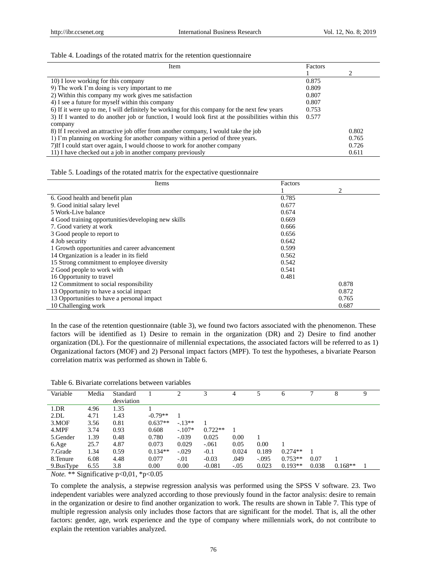#### Table 4. Loadings of the rotated matrix for the retention questionnaire

| Item                                                                                              | Factors |       |
|---------------------------------------------------------------------------------------------------|---------|-------|
|                                                                                                   |         |       |
| 10) I love working for this company                                                               | 0.875   |       |
| 9) The work I'm doing is very important to me                                                     | 0.809   |       |
| 2) Within this company my work gives me satisfaction                                              | 0.807   |       |
| 4) I see a future for myself within this company                                                  | 0.807   |       |
| 6) If it were up to me, I will definitely be working for this company for the next few years      |         |       |
| 3) If I wanted to do another job or function, I would look first at the possibilities within this |         |       |
| company                                                                                           |         |       |
| 8) If I received an attractive job offer from another company, I would take the job               |         | 0.802 |
| 1) I'm planning on working for another company within a period of three years.                    |         | 0.765 |
| 7) If I could start over again, I would choose to work for another company                        |         | 0.726 |
| 11) I have checked out a job in another company previously                                        |         | 0.611 |

| Items                                               | Factors |       |
|-----------------------------------------------------|---------|-------|
|                                                     |         | 2     |
| 6. Good health and benefit plan                     | 0.785   |       |
| 9. Good initial salary level                        | 0.677   |       |
| 5 Work-Live balance                                 | 0.674   |       |
| 4 Good training opportunities/developing new skills | 0.669   |       |
| 7. Good variety at work                             | 0.666   |       |
| 3 Good people to report to                          | 0.656   |       |
| 4 Job security                                      | 0.642   |       |
| 1 Growth opportunities and career advancement       | 0.599   |       |
| 14 Organization is a leader in its field            | 0.562   |       |
| 15 Strong commitment to employee diversity          | 0.542   |       |
| 2 Good people to work with                          | 0.541   |       |
| 16 Opportunity to travel                            | 0.481   |       |
| 12 Commitment to social responsibility              |         | 0.878 |
| 13 Opportunity to have a social impact              |         | 0.872 |
| 13 Opportunities to have a personal impact          |         | 0.765 |
| 10 Challenging work                                 |         | 0.687 |

In the case of the retention questionnaire (table 3), we found two factors associated with the phenomenon. These factors will be identified as 1) Desire to remain in the organization (DR) and 2) Desire to find another organization (DL). For the questionnaire of millennial expectations, the associated factors will be referred to as 1) Organizational factors (MOF) and 2) Personal impact factors (MPF). To test the hypotheses, a bivariate Pearson correlation matrix was performed as shown in Table 6.

| Table 6. Bivariate correlations between variables |  |  |
|---------------------------------------------------|--|--|
|---------------------------------------------------|--|--|

| Variable  | Media | Standard   |           |          |           | 4      |         | 6         |       |           | Q |
|-----------|-------|------------|-----------|----------|-----------|--------|---------|-----------|-------|-----------|---|
|           |       | desviation |           |          |           |        |         |           |       |           |   |
| $1$ .DR   | 4.96  | 1.35       |           |          |           |        |         |           |       |           |   |
| 2.DL      | 4.71  | 1.43       | $-0.79**$ |          |           |        |         |           |       |           |   |
| 3.MOF     | 3.56  | 0.81       | $0.637**$ | $-.13**$ |           |        |         |           |       |           |   |
| 4.MPF     | 3.74  | 0.93       | 0.608     | $-.107*$ | $0.722**$ |        |         |           |       |           |   |
| 5. Gender | 1.39  | 0.48       | 0.780     | $-.039$  | 0.025     | 0.00   |         |           |       |           |   |
| 6.Age     | 25.7  | 4.87       | 0.073     | 0.029    | $-.061$   | 0.05   | 0.00    |           |       |           |   |
| 7.Grade   | 1.34  | 0.59       | $0.134**$ | $-.029$  | $-0.1$    | 0.024  | 0.189   | $0.274**$ |       |           |   |
| 8. Tenure | 6.08  | 4.48       | 0.077     | $-.01$   | $-0.03$   | .049   | $-.095$ | $0.753**$ | 0.07  |           |   |
| 9.BusType | 6.55  | 3.8        | 0.00      | 0.00     | $-0.081$  | $-.05$ | 0.023   | $0.193**$ | 0.038 | $0.168**$ |   |

*Note.* \*\* Significative p<0,01, \*p<0.05

To complete the analysis, a stepwise regression analysis was performed using the SPSS V software. 23. Two independent variables were analyzed according to those previously found in the factor analysis: desire to remain in the organization or desire to find another organization to work. The results are shown in Table 7. This type of multiple regression analysis only includes those factors that are significant for the model. That is, all the other factors: gender, age, work experience and the type of company where millennials work, do not contribute to explain the retention variables analyzed.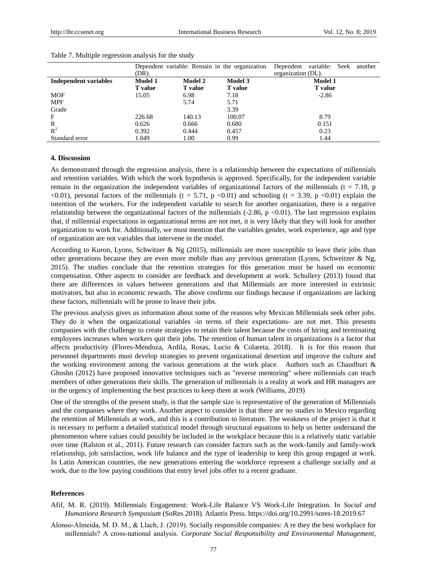|                       | Dependent variable: Remain in the organization |                | Dependent variable: Seek another |                    |
|-----------------------|------------------------------------------------|----------------|----------------------------------|--------------------|
|                       | (DR).                                          |                |                                  | organization (DL). |
| Independent variables | <b>Model 1</b>                                 | <b>Model 2</b> | <b>Model 3</b>                   | <b>Model 1</b>     |
|                       | <b>T</b> value                                 | <b>T</b> value | <b>T</b> value                   | <b>T</b> value     |
| <b>MOF</b>            | 15.05                                          | 6.98           | 7.18                             | $-2.86$            |
| <b>MPF</b>            |                                                | 5.74           | 5.71                             |                    |
| Grade                 |                                                |                | 3.39                             |                    |
| $\mathbf F$           | 226.68                                         | 140.13         | 100.07                           | 8.79               |
| R                     | 0.626                                          | 0.666          | 0.680                            | 0.151              |
| $R^2$                 | 0.392                                          | 0.444          | 0.457                            | 0.23               |
| Standard error        | 1.049                                          | 1.00           | 0.99                             | 1.44               |

#### Table 7. Multiple regression analysis for the study

#### **4. Discussion**

As demonstrated through the regression analysis, there is a relationship between the expectations of millennials and retention variables. With which the work hypothesis is approved. Specifically, for the independent variable remain in the organization the independent variables of organizational factors of the millennials ( $t = 7.18$ , p  $\langle 0.01 \rangle$ , personal factors of the millennials (t = 5.71, p  $\langle 0.01 \rangle$  and schooling (t = 3.39, p  $\langle 0.01 \rangle$ ) explain the intention of the workers. For the independent variable to search for another organization, there is a negative relationship between the organizational factors of the millennials  $(-2.86, p \lt 0.01)$ . The last regression explains that, if millennial expectations in organizational terms are not met, it is very likely that they will look for another organization to work for. Additionally, we must mention that the variables gender, work experience, age and type of organization are not variables that intervene in the model.

According to Kuron, Lyons, Schwitzer & Ng (2015), millennials are more susceptible to leave their jobs than other generations because they are even more mobile than any previous generation (Lyons, Schweitzer & Ng, 2015). The studies conclude that the retention strategies for this generation must be based on economic compensation. Other aspects to consider are feedback and development at work. Schullery (2013) found that there are differences in values between generations and that Millennials are more interested in extrinsic motivators, but also in economic rewards. The above confirms our findings because if organizations are lacking these factors, millennials will be prone to leave their jobs.

The previous analysis gives us information about some of the reasons why Mexican Millennials seek other jobs. They do it when the organizational variables -in terms of their expectations- are not met. This presents companies with the challenge to create strategies to retain their talent because the costs of hiring and terminating employees increases when workers quit their jobs. The retention of human talent in organizations is a factor that affects productivity (Flores-Mendoza, Ardila, Rosas, Lucio & Colareta, 2018). It is for this reason that personnel departments must develop strategies to prevent organizational desertion and improve the culture and the working environment among the various generations at the work place. Authors such as Chaudhuri & Ghoshn (2012) have proposed innovative techniques such as "reverse mentoring" where millennials can teach members of other generations their skills. The generation of millennials is a reality at work and HR managers are in the urgency of implementing the best practices to keep them at work (Williams, 2019)

One of the strengths of the present study, is that the sample size is representative of the generation of Millennials and the companies where they work. Another aspect to consider is that there are no studies in Mexico regarding the retention of Millennials at work, and this is a contribution to literature. The weakness of the project is that it is necessary to perform a detailed statistical model through structural equations to help us better understand the phenomenon where values could possibly be included in the workplace because this is a relatively static variable over time (Ralston et al., 2011). Future research can consider factors such as the work-family and family-work relationship, job satisfaction, work life balance and the type of leadership to keep this group engaged at work. In Latin American countries, the new generations entering the workforce represent a challenge socially and at work, due to the low paying conditions that entry level jobs offer to a recent graduate.

#### **References**

- Afif, M. R. (2019). Millennials Engagement: Work-Life Balance VS Work-Life Integration. In *Social and Humaniora Research Symposium* (SoRes 2018). Atlantis Press. https://doi.org/10.2991/sores-18.2019.67
- Alonso‐Almeida, M. D. M., & Llach, J. (2019). Socially responsible companies: A re they the best workplace for millennials? A cross‐national analysis. *Corporate Social Responsibility and Environmental Management*,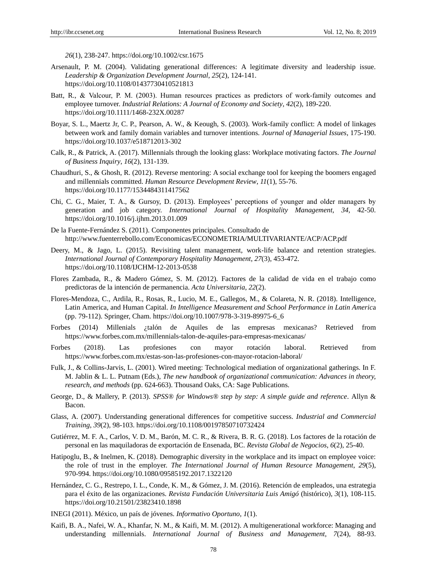*26*(1), 238-247. https://doi.org/10.1002/csr.1675

- Arsenault, P. M. (2004). Validating generational differences: A legitimate diversity and leadership issue. *Leadership & Organization Development Journal*, *25*(2), 124-141. https://doi.org/10.1108/01437730410521813
- Batt, R., & Valcour, P. M. (2003). Human resources practices as predictors of work‐family outcomes and employee turnover. *Industrial Relations: A Journal of Economy and Society*, *42*(2), 189-220. https://doi.org/10.1111/1468-232X.00287
- Boyar, S. L., Maertz Jr, C. P., Pearson, A. W., & Keough, S. (2003). Work-family conflict: A model of linkages between work and family domain variables and turnover intentions. *Journal of Managerial Issues*, 175-190. https://doi.org/10.1037/e518712013-302
- Calk, R., & Patrick, A. (2017). Millennials through the looking glass: Workplace motivating factors. *The Journal of Business Inquiry*, *16*(2), 131-139.
- Chaudhuri, S., & Ghosh, R. (2012). Reverse mentoring: A social exchange tool for keeping the boomers engaged and millennials committed. *Human Resource Development Review*, *11*(1), 55-76. https://doi.org/10.1177/1534484311417562
- Chi, C. G., Maier, T. A., & Gursoy, D. (2013). Employees' perceptions of younger and older managers by generation and job category. *International Journal of Hospitality Management*, *34,* 42-50. https://doi.org/10.1016/j.ijhm.2013.01.009
- De la Fuente-Fernández S. (2011). Componentes principales. Consultado de http://www.fuenterrebollo.com/Economicas/ECONOMETRIA/MULTIVARIANTE/ACP/ACP.pdf
- Deery, M., & Jago, L. (2015). Revisiting talent management, work-life balance and retention strategies. *International Journal of Contemporary Hospitality Management*, *27*(3), 453-472. https://doi.org/10.1108/IJCHM-12-2013-0538
- Flores Zambada, R., & Madero Gómez, S. M. (2012). Factores de la calidad de vida en el trabajo como predictoras de la intención de permanencia. *Acta Universitaria*, *22*(2).
- Flores-Mendoza, C., Ardila, R., Rosas, R., Lucio, M. E., Gallegos, M., & Colareta, N. R. (2018). Intelligence, Latin America, and Human Capital. *In Intelligence Measurement and School Performance in Latin Americ*a (pp. 79-112). Springer, Cham. https://doi.org/10.1007/978-3-319-89975-6\_6
- Forbes (2014) Millenials ¿talón de Aquiles de las empresas mexicanas? Retrieved from https://www.forbes.com.mx/millennials-talon-de-aquiles-para-empresas-mexicanas/
- Forbes (2018). Las profesiones con mayor rotación laboral. Retrieved from https://www.forbes.com.mx/estas-son-las-profesiones-con-mayor-rotacion-laboral/
- Fulk, J., & Collins-Jarvis, L. (2001). Wired meeting: Technological mediation of organizational gatherings. In F. M. Jablin & L. L. Putnam (Eds.), *The new handbook of organizational communication: Advances in theory, research, and methods* (pp. 624-663). Thousand Oaks, CA: Sage Publications.
- George, D., & Mallery, P. (2013). *SPSS® for Windows® step by step: A simple guide and reference*. Allyn & Bacon.
- Glass, A. (2007). Understanding generational differences for competitive success. *Industrial and Commercial Training*, *39*(2), 98-103. https://doi.org/10.1108/00197850710732424
- Gutiérrez, M. F. A., Carlos, V. D. M., Barón, M. C. R., & Rivera, B. R. G. (2018). Los factores de la rotación de personal en las maquiladoras de exportación de Ensenada, BC. *Revista Global de Negocios*, *6*(2), 25-40.
- Hatipoglu, B., & Inelmen, K. (2018). Demographic diversity in the workplace and its impact on employee voice: the role of trust in the employer. *The International Journal of Human Resource Management*, *29*(5), 970-994. https://doi.org/10.1080/09585192.2017.1322120
- Hernández, C. G., Restrepo, I. L., Conde, K. M., & Gómez, J. M. (2016). Retención de empleados, una estrategia para el éxito de las organizaciones. *Revista Fundación Universitaria Luis Amigó*(histórico), *3*(1), 108-115. https://doi.org/10.21501/23823410.1898
- INEGI (2011). México, un país de jóvenes. *Informativo Oportuno*, *1*(1).
- Kaifi, B. A., Nafei, W. A., Khanfar, N. M., & Kaifi, M. M. (2012). A multigenerational workforce: Managing and understanding millennials. *International Journal of Business and Management*, *7*(24), 88-93.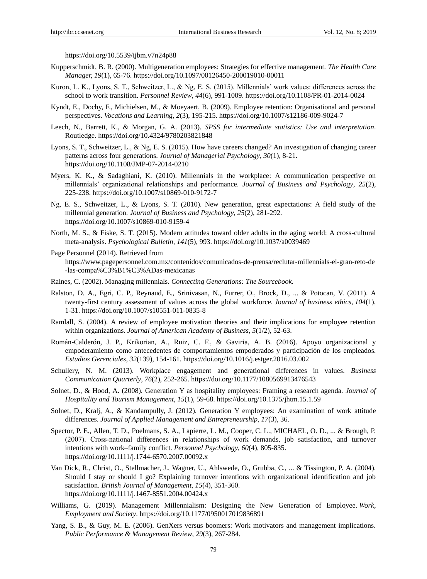https://doi.org/10.5539/ijbm.v7n24p88

- Kupperschmidt, B. R. (2000). Multigeneration employees: Strategies for effective management. *The Health Care Manager, 19*(1), 65-76. https://doi.org/10.1097/00126450-200019010-00011
- Kuron, L. K., Lyons, S. T., Schweitzer, L., & Ng, E. S. (2015). Millennials' work values: differences across the school to work transition. *Personnel Review*, *44*(6), 991-1009. https://doi.org/10.1108/PR-01-2014-0024
- Kyndt, E., Dochy, F., Michielsen, M., & Moeyaert, B. (2009). Employee retention: Organisational and personal perspectives. *Vocations and Learning*, *2*(3), 195-215. https://doi.org/10.1007/s12186-009-9024-7
- Leech, N., Barrett, K., & Morgan, G. A. (2013). *SPSS for intermediate statistics: Use and interpretation*. Routledge. https://doi.org/10.4324/9780203821848
- Lyons, S. T., Schweitzer, L., & Ng, E. S. (2015). How have careers changed? An investigation of changing career patterns across four generations. *Journal of Managerial Psychology*, *30*(1), 8-21. https://doi.org/10.1108/JMP-07-2014-0210
- Myers, K. K., & Sadaghiani, K. (2010). Millennials in the workplace: A communication perspective on millennials' organizational relationships and performance. *Journal of Business and Psychology*, *25*(2), 225-238. https://doi.org/10.1007/s10869-010-9172-7
- Ng, E. S., Schweitzer, L., & Lyons, S. T. (2010). New generation, great expectations: A field study of the millennial generation. *Journal of Business and Psychology*, *25*(2), 281-292. https://doi.org/10.1007/s10869-010-9159-4
- North, M. S., & Fiske, S. T. (2015). Modern attitudes toward older adults in the aging world: A cross-cultural meta-analysis. *Psychological Bulletin*, *141*(5), 993. https://doi.org/10.1037/a0039469
- Page Personnel (2014). Retrieved from https://www.pagepersonnel.com.mx/contenidos/comunicados-de-prensa/reclutar-millennials-el-gran-reto-de -las-compa%C3%B1%C3%ADas-mexicanas
- Raines, C. (2002). Managing millennials. *Connecting Generations: The Sourcebook.*
- Ralston, D. A., Egri, C. P., Reynaud, E., Srinivasan, N., Furrer, O., Brock, D., ... & Potocan, V. (2011). A twenty-first century assessment of values across the global workforce. *Journal of business ethics*, *104*(1), 1-31. https://doi.org/10.1007/s10551-011-0835-8
- Ramlall, S. (2004). A review of employee motivation theories and their implications for employee retention within organizations. *Journal of American Academy of Business*, *5*(1/2), 52-63.
- Román-Calderón, J. P., Krikorian, A., Ruiz, C. F., & Gaviria, A. B. (2016). Apoyo organizacional y empoderamiento como antecedentes de comportamientos empoderados y participación de los empleados. *Estudios Gerenciales*, *32*(139), 154-161. https://doi.org/10.1016/j.estger.2016.03.002
- Schullery, N. M. (2013). Workplace engagement and generational differences in values. *Business Communication Quarterly*, *76*(2), 252-265. https://doi.org/10.1177/1080569913476543
- Solnet, D., & Hood, A. (2008). Generation Y as hospitality employees: Framing a research agenda. *Journal of Hospitality and Tourism Management*, *15*(1), 59-68. https://doi.org/10.1375/jhtm.15.1.59
- Solnet, D., Kralj, A., & Kandampully, J. (2012). Generation Y employees: An examination of work attitude differences. *Journal of Applied Management and Entrepreneurship*, *17*(3), 36.
- Spector, P. E., Allen, T. D., Poelmans, S. A., Lapierre, L. M., Cooper, C. L., MICHAEL, O. D., ... & Brough, P. (2007). Cross‐national differences in relationships of work demands, job satisfaction, and turnover intentions with work–family conflict. *Personnel Psychology*, *60*(4), 805-835. https://doi.org/10.1111/j.1744-6570.2007.00092.x
- Van Dick, R., Christ, O., Stellmacher, J., Wagner, U., Ahlswede, O., Grubba, C., ... & Tissington, P. A. (2004). Should I stay or should I go? Explaining turnover intentions with organizational identification and job satisfaction. *British Journal of Management*, *15*(4), 351-360. https://doi.org/10.1111/j.1467-8551.2004.00424.x
- Williams, G. (2019). Management Millennialism: Designing the New Generation of Employee. *Work, Employment and Society*. https://doi.org/10.1177/0950017019836891
- Yang, S. B., & Guy, M. E. (2006). GenXers versus boomers: Work motivators and management implications. *Public Performance & Management Review*, *29*(3), 267-284.